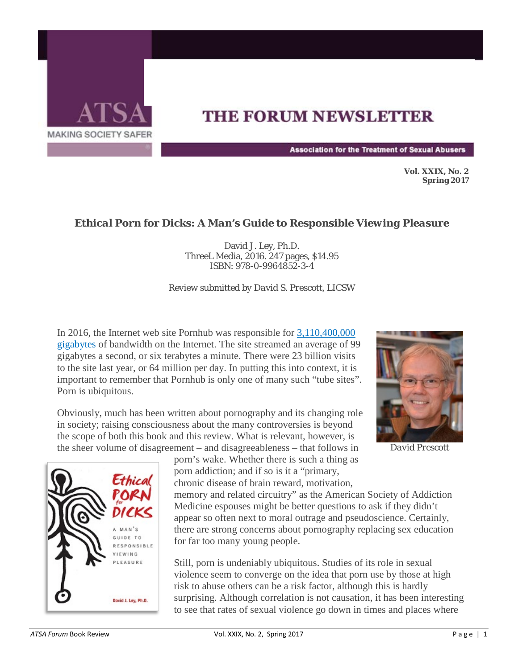

## **THE FORUM NEWSLETTER**

**Association for the Treatment of Sexual Abusers** 

**Vol. XXIX, No. 2 Spring 2017** 

## *Ethical Porn for Dicks: A Man's Guide to Responsible Viewing Pleasure*

David J. Ley, Ph.D. ThreeL Media, 2016. 247 pages, \$14.95 ISBN: 978-0-9964852-3-4

*Review submitted by David S. Prescott, LICSW*

In 2016, the Internet web site Pornhub was responsible for [3,110,400,000](http://newsmanager.commpartners.com/linktrack.php?url=http%3A%2F%2Fwww.pornhub.com%2Finsights%2F2016-year-in-review) [gigabytes](http://newsmanager.commpartners.com/linktrack.php?url=http%3A%2F%2Fwww.pornhub.com%2Finsights%2F2016-year-in-review) of bandwidth on the Internet. The site streamed an average of 99 gigabytes a second, or six terabytes a minute. There were 23 billion visits to the site last year, or 64 million per day. In putting this into context, it is important to remember that Pornhub is only one of many such "tube sites". Porn is ubiquitous.

Obviously, much has been written about pornography and its changing role in society; raising consciousness about the many controversies is beyond the scope of both this book and this review. What is relevant, however, is the sheer volume of disagreement – and disagreeableness – that follows in



porn's wake. Whether there is such a thing as porn addiction; and if so is it a "primary, chronic disease of brain reward, motivation,

memory and related circuitry" as the American Society of Addiction Medicine espouses might be better questions to ask if they didn't appear so often next to moral outrage and pseudoscience. Certainly, there are strong concerns about pornography replacing sex education for far too many young people.

Still, porn is undeniably ubiquitous. Studies of its role in sexual violence seem to converge on the idea that porn use by those at high risk to abuse others can be a risk factor, although this is hardly surprising. Although correlation is not causation, it has been interesting to see that rates of sexual violence go down in times and places where



*David Prescott*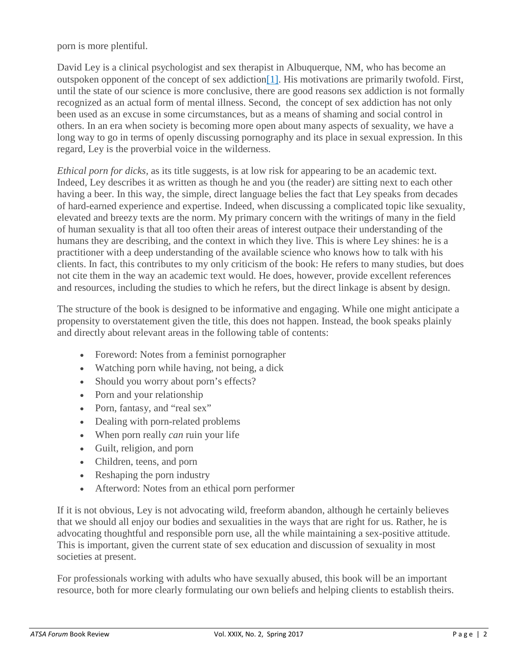porn is more plentiful.

David Ley is a clinical psychologist and sex therapist in Albuquerque, NM, who has become an outspoken opponent of the concept of sex addictio[n\[1\].](http://newsmanager.commpartners.com/atsa/issues/2017-03-15/8.html#_ftn1) His motivations are primarily twofold. First, until the state of our science is more conclusive, there are good reasons sex addiction is not formally recognized as an actual form of mental illness. Second, the concept of sex addiction has not only been used as an excuse in some circumstances, but as a means of shaming and social control in others. In an era when society is becoming more open about many aspects of sexuality, we have a long way to go in terms of openly discussing pornography and its place in sexual expression. In this regard, Ley is the proverbial voice in the wilderness.

*Ethical porn for dicks,* as its title suggests, is at low risk for appearing to be an academic text. Indeed, Ley describes it as written as though he and you (the reader) are sitting next to each other having a beer. In this way, the simple, direct language belies the fact that Ley speaks from decades of hard-earned experience and expertise. Indeed, when discussing a complicated topic like sexuality, elevated and breezy texts are the norm. My primary concern with the writings of many in the field of human sexuality is that all too often their areas of interest outpace their understanding of the humans they are describing, and the context in which they live. This is where Ley shines: he is a practitioner with a deep understanding of the available science who knows how to talk with his clients. In fact, this contributes to my only criticism of the book: He refers to many studies, but does not cite them in the way an academic text would. He does, however, provide excellent references and resources, including the studies to which he refers, but the direct linkage is absent by design.

The structure of the book is designed to be informative and engaging. While one might anticipate a propensity to overstatement given the title, this does not happen. Instead, the book speaks plainly and directly about relevant areas in the following table of contents:

- Foreword: Notes from a feminist pornographer
- Watching porn while having, not being, a dick
- Should you worry about porn's effects?
- Porn and your relationship
- Porn, fantasy, and "real sex"
- Dealing with porn-related problems
- When porn really *can* ruin your life
- Guilt, religion, and porn
- Children, teens, and porn
- Reshaping the porn industry
- Afterword: Notes from an ethical porn performer

If it is not obvious, Ley is not advocating wild, freeform abandon, although he certainly believes that we should all enjoy our bodies and sexualities in the ways that are right for us. Rather, he is advocating thoughtful and responsible porn use, all the while maintaining a sex-positive attitude. This is important, given the current state of sex education and discussion of sexuality in most societies at present.

For professionals working with adults who have sexually abused, this book will be an important resource, both for more clearly formulating our own beliefs and helping clients to establish theirs.